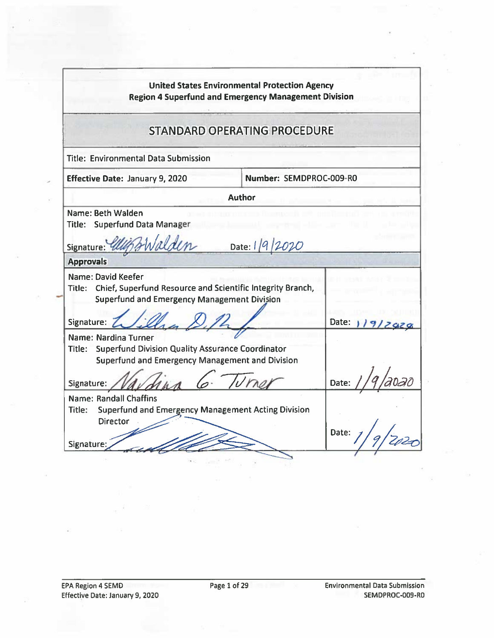#### **United States Environmental Protection Agency Region 4 Superfund and Emergency Management Division**

#### **STANDARD OPERATING PROCEDURE**

Title: Environmental Data Submission

**Effective Date: January 9, 2020** 

Number: SEMDPROC-009-R0

**Author** 

Name: Beth Walden Title: Superfund Data Manager Date: 1/9/2020 Signature: **Approvals** Name: David Keefer Title: Chief, Superfund Resource and Scientific Integrity Branch, Superfund and Emergency Management Division Date:  $119/2929$ Signature: Name: Nardina Turner Title: Superfund Division Quality Assurance Coordinator Superfund and Emergency Management and Division Date: Signature: VA **Name: Randall Chaffins Superfund and Emergency Management Acting Division** Title: **Director** Date: Signature: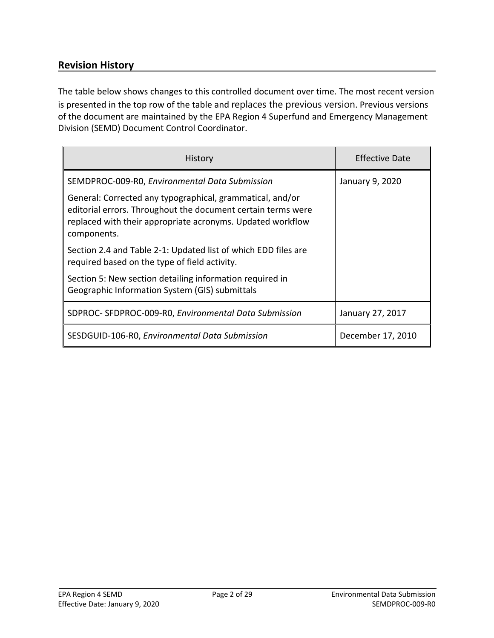#### **Revision History**

The table below shows changes to this controlled document over time. The most recent version is presented in the top row of the table and replaces the previous version. Previous versions of the document are maintained by the EPA Region 4 Superfund and Emergency Management Division (SEMD) Document Control Coordinator.

| History                                                                                                                                                                                                | <b>Effective Date</b> |  |  |  |  |  |
|--------------------------------------------------------------------------------------------------------------------------------------------------------------------------------------------------------|-----------------------|--|--|--|--|--|
| SEMDPROC-009-R0, Environmental Data Submission                                                                                                                                                         | January 9, 2020       |  |  |  |  |  |
| General: Corrected any typographical, grammatical, and/or<br>editorial errors. Throughout the document certain terms were<br>replaced with their appropriate acronyms. Updated workflow<br>components. |                       |  |  |  |  |  |
| Section 2.4 and Table 2-1: Updated list of which EDD files are<br>required based on the type of field activity.                                                                                        |                       |  |  |  |  |  |
| Section 5: New section detailing information required in<br>Geographic Information System (GIS) submittals                                                                                             |                       |  |  |  |  |  |
| SDPROC-SFDPROC-009-R0, Environmental Data Submission                                                                                                                                                   | January 27, 2017      |  |  |  |  |  |
| SESDGUID-106-RO, Environmental Data Submission                                                                                                                                                         | December 17, 2010     |  |  |  |  |  |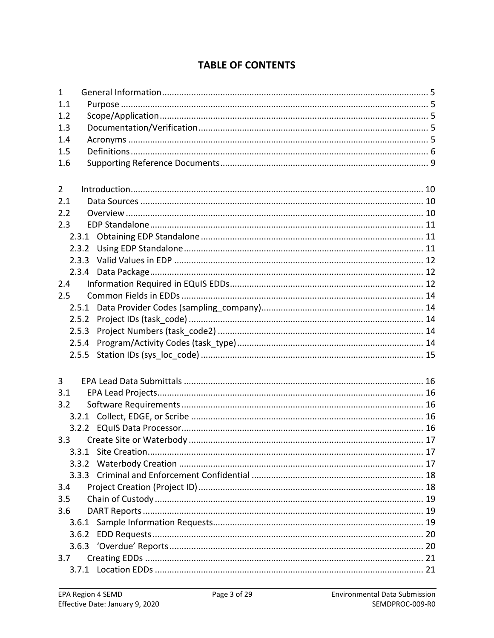### **TABLE OF CONTENTS**

| $\mathbf{1}$   |       |  |  |  |  |  |  |  |  |  |  |  |
|----------------|-------|--|--|--|--|--|--|--|--|--|--|--|
| 1.1            |       |  |  |  |  |  |  |  |  |  |  |  |
| 1.2            |       |  |  |  |  |  |  |  |  |  |  |  |
| 1.3            |       |  |  |  |  |  |  |  |  |  |  |  |
| 1.4            |       |  |  |  |  |  |  |  |  |  |  |  |
| 1.5            |       |  |  |  |  |  |  |  |  |  |  |  |
| 1.6            |       |  |  |  |  |  |  |  |  |  |  |  |
|                |       |  |  |  |  |  |  |  |  |  |  |  |
| $\overline{2}$ |       |  |  |  |  |  |  |  |  |  |  |  |
| 2.1            |       |  |  |  |  |  |  |  |  |  |  |  |
| 2.2            |       |  |  |  |  |  |  |  |  |  |  |  |
| 2.3            |       |  |  |  |  |  |  |  |  |  |  |  |
|                | 2.3.1 |  |  |  |  |  |  |  |  |  |  |  |
|                | 2.3.2 |  |  |  |  |  |  |  |  |  |  |  |
|                | 2.3.3 |  |  |  |  |  |  |  |  |  |  |  |
|                | 2.3.4 |  |  |  |  |  |  |  |  |  |  |  |
| 2.4            |       |  |  |  |  |  |  |  |  |  |  |  |
| 2.5            |       |  |  |  |  |  |  |  |  |  |  |  |
|                | 2.5.1 |  |  |  |  |  |  |  |  |  |  |  |
|                | 2.5.2 |  |  |  |  |  |  |  |  |  |  |  |
|                | 2.5.3 |  |  |  |  |  |  |  |  |  |  |  |
|                | 2.5.4 |  |  |  |  |  |  |  |  |  |  |  |
|                | 2.5.5 |  |  |  |  |  |  |  |  |  |  |  |
|                |       |  |  |  |  |  |  |  |  |  |  |  |
|                |       |  |  |  |  |  |  |  |  |  |  |  |
| 3              |       |  |  |  |  |  |  |  |  |  |  |  |
| 3.1            |       |  |  |  |  |  |  |  |  |  |  |  |
| 3.2            |       |  |  |  |  |  |  |  |  |  |  |  |
|                |       |  |  |  |  |  |  |  |  |  |  |  |
|                |       |  |  |  |  |  |  |  |  |  |  |  |
| 3.3            |       |  |  |  |  |  |  |  |  |  |  |  |
|                | 3.3.1 |  |  |  |  |  |  |  |  |  |  |  |
|                | 3.3.2 |  |  |  |  |  |  |  |  |  |  |  |
|                |       |  |  |  |  |  |  |  |  |  |  |  |
| 3.4            |       |  |  |  |  |  |  |  |  |  |  |  |
| 3.5            |       |  |  |  |  |  |  |  |  |  |  |  |
| 3.6            |       |  |  |  |  |  |  |  |  |  |  |  |
|                |       |  |  |  |  |  |  |  |  |  |  |  |
|                |       |  |  |  |  |  |  |  |  |  |  |  |
|                |       |  |  |  |  |  |  |  |  |  |  |  |
| 3.7            |       |  |  |  |  |  |  |  |  |  |  |  |
|                |       |  |  |  |  |  |  |  |  |  |  |  |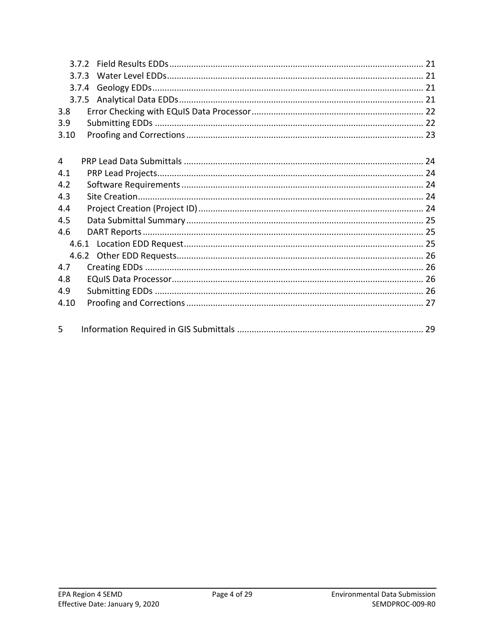|      | 3.7.3 |  |  |  |  |  |  |  |  |  |
|------|-------|--|--|--|--|--|--|--|--|--|
|      | 3.7.4 |  |  |  |  |  |  |  |  |  |
|      |       |  |  |  |  |  |  |  |  |  |
| 3.8  |       |  |  |  |  |  |  |  |  |  |
| 3.9  |       |  |  |  |  |  |  |  |  |  |
| 3.10 |       |  |  |  |  |  |  |  |  |  |
|      |       |  |  |  |  |  |  |  |  |  |
| 4    |       |  |  |  |  |  |  |  |  |  |
| 4.1  |       |  |  |  |  |  |  |  |  |  |
| 4.2  |       |  |  |  |  |  |  |  |  |  |
| 4.3  |       |  |  |  |  |  |  |  |  |  |
| 4.4  |       |  |  |  |  |  |  |  |  |  |
| 4.5  |       |  |  |  |  |  |  |  |  |  |
| 4.6  |       |  |  |  |  |  |  |  |  |  |
|      |       |  |  |  |  |  |  |  |  |  |
|      |       |  |  |  |  |  |  |  |  |  |
| 4.7  |       |  |  |  |  |  |  |  |  |  |
| 4.8  |       |  |  |  |  |  |  |  |  |  |
| 4.9  |       |  |  |  |  |  |  |  |  |  |
| 4.10 |       |  |  |  |  |  |  |  |  |  |
|      |       |  |  |  |  |  |  |  |  |  |
| 5    |       |  |  |  |  |  |  |  |  |  |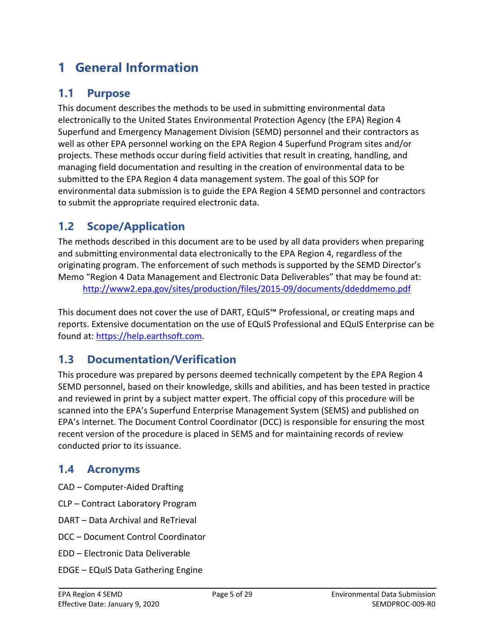# <span id="page-4-0"></span>**1 General Information**

### <span id="page-4-1"></span>**1.1 Purpose**

This document describes the methods to be used in submitting environmental data electronically to the United States Environmental Protection Agency (the EPA) Region 4 Superfund and Emergency Management Division (SEMD) personnel and their contractors as well as other EPA personnel working on the EPA Region 4 Superfund Program sites and/or projects. These methods occur during field activities that result in creating, handling, and managing field documentation and resulting in the creation of environmental data to be submitted to the EPA Region 4 data management system. The goal of this SOP for environmental data submission is to guide the EPA Region 4 SEMD personnel and contractors to submit the appropriate required electronic data.

## <span id="page-4-2"></span>**1.2 Scope/Application**

The methods described in this document are to be used by all data providers when preparing and submitting environmental data electronically to the EPA Region 4, regardless of the originating program. The enforcement of such methods is supported by the SEMD Director's Memo "Region 4 Data Management and Electronic Data Deliverables" that may be found at:

<http://www2.epa.gov/sites/production/files/2015-09/documents/ddeddmemo.pdf>

This document does not cover the use of DART, EQuIS™ Professional, or creating maps and reports. Extensive documentation on the use of EQuIS Professional and EQuIS Enterprise can be found at: [https://help.earthsoft.com.](https://help.earthsoft.com/)

## <span id="page-4-3"></span>**1.3 Documentation/Verification**

This procedure was prepared by persons deemed technically competent by the EPA Region 4 SEMD personnel, based on their knowledge, skills and abilities, and has been tested in practice and reviewed in print by a subject matter expert. The official copy of this procedure will be scanned into the EPA's Superfund Enterprise Management System (SEMS) and published on EPA's internet. The Document Control Coordinator (DCC) is responsible for ensuring the most recent version of the procedure is placed in SEMS and for maintaining records of review conducted prior to its issuance.

## <span id="page-4-4"></span>**1.4 Acronyms**

- CAD Computer-Aided Drafting
- CLP Contract Laboratory Program
- DART Data Archival and ReTrieval
- DCC Document Control Coordinator
- EDD Electronic Data Deliverable
- EDGE EQuIS Data Gathering Engine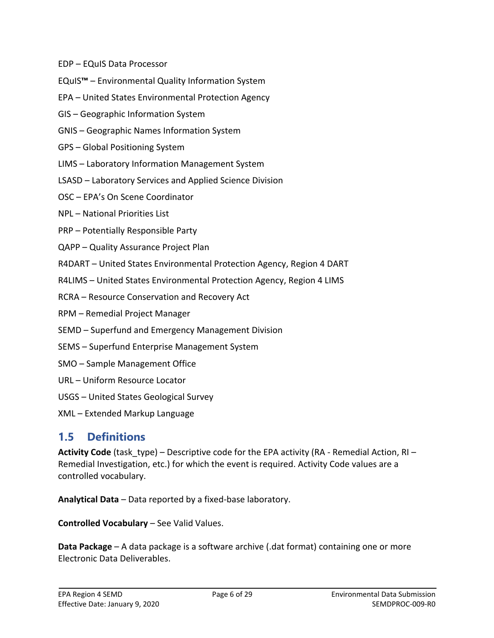- EDP EQuIS Data Processor
- EQuIS**™** Environmental Quality Information System
- EPA United States Environmental Protection Agency
- GIS Geographic Information System
- GNIS Geographic Names Information System
- GPS Global Positioning System
- LIMS Laboratory Information Management System
- LSASD Laboratory Services and Applied Science Division
- OSC EPA's On Scene Coordinator
- NPL National Priorities List
- PRP Potentially Responsible Party
- QAPP Quality Assurance Project Plan
- R4DART United States Environmental Protection Agency, Region 4 DART
- R4LIMS United States Environmental Protection Agency, Region 4 LIMS
- RCRA Resource Conservation and Recovery Act
- RPM Remedial Project Manager
- SEMD Superfund and Emergency Management Division
- SEMS Superfund Enterprise Management System
- SMO Sample Management Office
- URL Uniform Resource Locator
- USGS United States Geological Survey
- <span id="page-5-0"></span>XML – Extended Markup Language

## **1.5 Definitions**

**Activity Code** (task\_type) – Descriptive code for the EPA activity (RA - Remedial Action, RI – Remedial Investigation, etc.) for which the event is required. Activity Code values are a controlled vocabulary.

**Analytical Data** – Data reported by a fixed-base laboratory.

**Controlled Vocabulary** – See Valid Values.

**Data Package** – A data package is a software archive (.dat format) containing one or more Electronic Data Deliverables.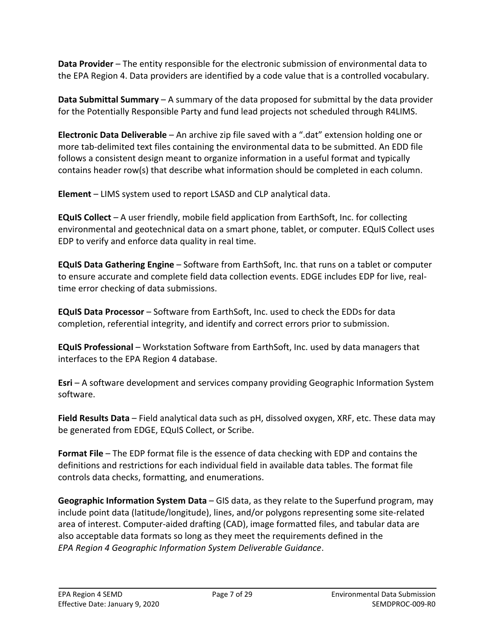**Data Provider** – The entity responsible for the electronic submission of environmental data to the EPA Region 4. Data providers are identified by a code value that is a controlled vocabulary.

**Data Submittal Summary** – A summary of the data proposed for submittal by the data provider for the Potentially Responsible Party and fund lead projects not scheduled through R4LIMS.

**Electronic Data Deliverable** – An archive zip file saved with a ".dat" extension holding one or more tab-delimited text files containing the environmental data to be submitted. An EDD file follows a consistent design meant to organize information in a useful format and typically contains header row(s) that describe what information should be completed in each column.

**Element** – LIMS system used to report LSASD and CLP analytical data.

**EQuIS Collect** – A user friendly, mobile field application from EarthSoft, Inc. for collecting environmental and geotechnical data on a smart phone, tablet, or computer. EQuIS Collect uses EDP to verify and enforce data quality in real time.

**EQuIS Data Gathering Engine** – Software from EarthSoft, Inc. that runs on a tablet or computer to ensure accurate and complete field data collection events. EDGE includes EDP for live, realtime error checking of data submissions.

**EQuIS Data Processor** – Software from EarthSoft, Inc. used to check the EDDs for data completion, referential integrity, and identify and correct errors prior to submission.

**EQuIS Professional** – Workstation Software from EarthSoft, Inc. used by data managers that interfaces to the EPA Region 4 database.

**Esri** – A software development and services company providing Geographic Information System software.

**Field Results Data** – Field analytical data such as pH, dissolved oxygen, XRF, etc. These data may be generated from EDGE, EQuIS Collect, or Scribe.

**Format File** – The EDP format file is the essence of data checking with EDP and contains the definitions and restrictions for each individual field in available data tables. The format file controls data checks, formatting, and enumerations.

**Geographic Information System Data** – GIS data, as they relate to the Superfund program, may include point data (latitude/longitude), lines, and/or polygons representing some site-related area of interest. Computer-aided drafting (CAD), image formatted files, and tabular data are also acceptable data formats so long as they meet the requirements defined in the *EPA Region 4 Geographic Information System Deliverable Guidance*.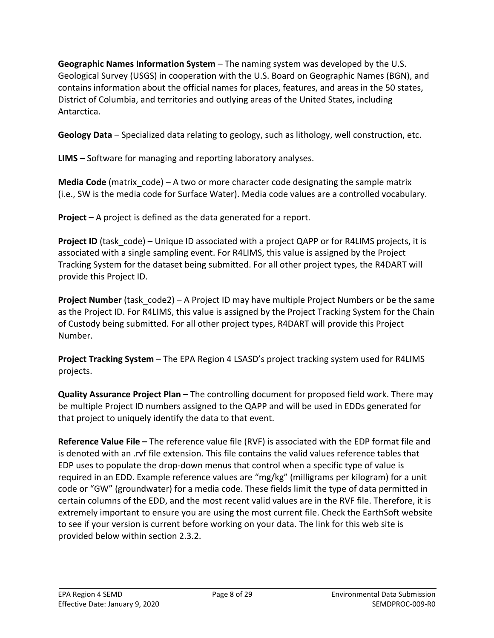**Geographic Names Information System** – The naming system was developed by the U.S. Geological Survey (USGS) in cooperation with the U.S. Board on Geographic Names (BGN), and contains information about the official names for places, features, and areas in the 50 states, District of Columbia, and territories and outlying areas of the United States, including Antarctica.

**Geology Data** – Specialized data relating to geology, such as lithology, well construction, etc.

**LIMS** – Software for managing and reporting laboratory analyses.

**Media Code** (matrix code) – A two or more character code designating the sample matrix (i.e., SW is the media code for Surface Water). Media code values are a controlled vocabulary.

**Project** – A project is defined as the data generated for a report.

**Project ID** (task code) – Unique ID associated with a project QAPP or for R4LIMS projects, it is associated with a single sampling event. For R4LIMS, this value is assigned by the Project Tracking System for the dataset being submitted. For all other project types, the R4DART will provide this Project ID.

**Project Number** (task code2) – A Project ID may have multiple Project Numbers or be the same as the Project ID. For R4LIMS, this value is assigned by the Project Tracking System for the Chain of Custody being submitted. For all other project types, R4DART will provide this Project Number.

**Project Tracking System** – The EPA Region 4 LSASD's project tracking system used for R4LIMS projects.

**Quality Assurance Project Plan** – The controlling document for proposed field work. There may be multiple Project ID numbers assigned to the QAPP and will be used in EDDs generated for that project to uniquely identify the data to that event.

**Reference Value File –** The reference value file (RVF) is associated with the EDP format file and is denoted with an .rvf file extension. This file contains the valid values reference tables that EDP uses to populate the drop-down menus that control when a specific type of value is required in an EDD. Example reference values are "mg/kg" (milligrams per kilogram) for a unit code or "GW" (groundwater) for a media code. These fields limit the type of data permitted in certain columns of the EDD, and the most recent valid values are in the RVF file. Therefore, it is extremely important to ensure you are using the most current file. Check the EarthSoft website to see if your version is current before working on your data. The link for this web site is provided below within section 2.3.2.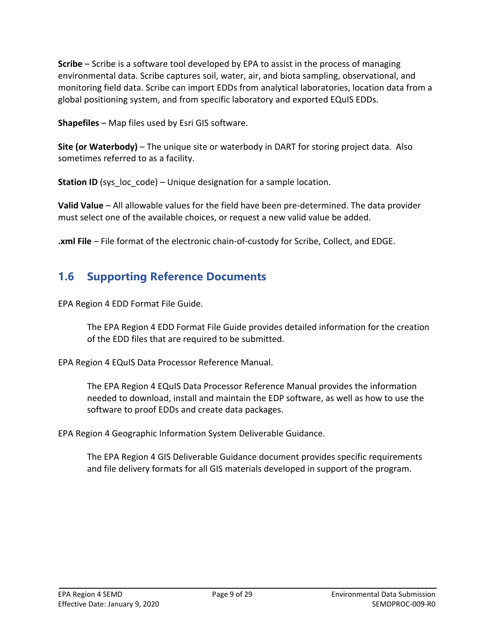**Scribe** – Scribe is a software tool developed by EPA to assist in the process of managing environmental data. Scribe captures soil, water, air, and biota sampling, observational, and monitoring field data. Scribe can import EDDs from analytical laboratories, location data from a global positioning system, and from specific laboratory and exported EQuIS EDDs.

**Shapefiles** – Map files used by Esri GIS software.

**Site (or Waterbody)** – The unique site or waterbody in DART for storing project data. Also sometimes referred to as a facility.

**Station ID** (sys loc code) – Unique designation for a sample location.

**Valid Value** – All allowable values for the field have been pre-determined. The data provider must select one of the available choices, or request a new valid value be added.

**.xml File** – File format of the electronic chain-of-custody for Scribe, Collect, and EDGE.

## <span id="page-8-0"></span>**1.6 Supporting Reference Documents**

EPA Region 4 EDD Format File Guide.

The EPA Region 4 EDD Format File Guide provides detailed information for the creation of the EDD files that are required to be submitted.

EPA Region 4 EQuIS Data Processor Reference Manual.

The EPA Region 4 EQuIS Data Processor Reference Manual provides the information needed to download, install and maintain the EDP software, as well as how to use the software to proof EDDs and create data packages.

EPA Region 4 Geographic Information System Deliverable Guidance.

The EPA Region 4 GIS Deliverable Guidance document provides specific requirements and file delivery formats for all GIS materials developed in support of the program.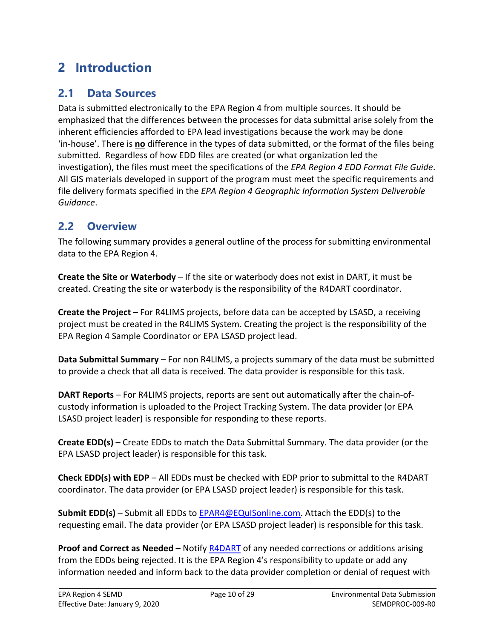# <span id="page-9-0"></span>**2 Introduction**

## <span id="page-9-1"></span>**2.1 Data Sources**

Data is submitted electronically to the EPA Region 4 from multiple sources. It should be emphasized that the differences between the processes for data submittal arise solely from the inherent efficiencies afforded to EPA lead investigations because the work may be done 'in-house'. There is **no** difference in the types of data submitted, or the format of the files being submitted. Regardless of how EDD files are created (or what organization led the investigation), the files must meet the specifications of the *EPA Region 4 EDD Format File Guide*. All GIS materials developed in support of the program must meet the specific requirements and file delivery formats specified in the *EPA Region 4 Geographic Information System Deliverable Guidance*.

## <span id="page-9-2"></span>**2.2 Overview**

The following summary provides a general outline of the process for submitting environmental data to the EPA Region 4.

**Create the Site or Waterbody** – If the site or waterbody does not exist in DART, it must be created. Creating the site or waterbody is the responsibility of the R4DART coordinator.

**Create the Project** – For R4LIMS projects, before data can be accepted by LSASD, a receiving project must be created in the R4LIMS System. Creating the project is the responsibility of the EPA Region 4 Sample Coordinator or EPA LSASD project lead.

**Data Submittal Summary** – For non R4LIMS, a projects summary of the data must be submitted to provide a check that all data is received. The data provider is responsible for this task.

**DART Reports** – For R4LIMS projects, reports are sent out automatically after the chain-ofcustody information is uploaded to the Project Tracking System. The data provider (or EPA LSASD project leader) is responsible for responding to these reports.

**Create EDD(s)** – Create EDDs to match the Data Submittal Summary. The data provider (or the EPA LSASD project leader) is responsible for this task.

**Check EDD(s) with EDP** – All EDDs must be checked with EDP prior to submittal to the R4DART coordinator. The data provider (or EPA LSASD project leader) is responsible for this task.

**Submit EDD(s)** – Submit all EDDs to [EPAR4@EQuISonline.com.](mailto:EPAR4@EQuISonline.com) Attach the EDD(s) to the requesting email. The data provider (or EPA LSASD project leader) is responsible for this task.

**Proof and Correct as Needed** – Notify [R4DART](mailto:EPAR4@EQuISonline.com) of any needed corrections or additions arising from the EDDs being rejected. It is the EPA Region 4's responsibility to update or add any information needed and inform back to the data provider completion or denial of request with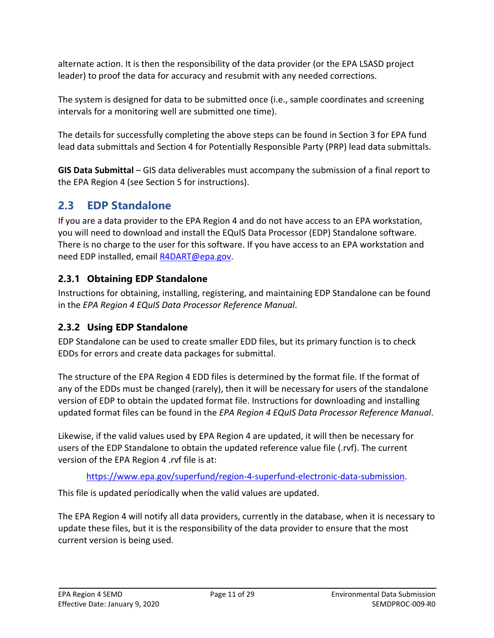alternate action. It is then the responsibility of the data provider (or the EPA LSASD project leader) to proof the data for accuracy and resubmit with any needed corrections.

The system is designed for data to be submitted once (i.e., sample coordinates and screening intervals for a monitoring well are submitted one time).

The details for successfully completing the above steps can be found in Section 3 for EPA fund lead data submittals and Section 4 for Potentially Responsible Party (PRP) lead data submittals.

**GIS Data Submittal** – GIS data deliverables must accompany the submission of a final report to the EPA Region 4 (see Section 5 for instructions).

## <span id="page-10-0"></span>**2.3 EDP Standalone**

If you are a data provider to the EPA Region 4 and do not have access to an EPA workstation, you will need to download and install the EQuIS Data Processor (EDP) Standalone software. There is no charge to the user for this software. If you have access to an EPA workstation and need EDP installed, email [R4DART@epa.gov.](mailto:R4DART@epa.gov)

### <span id="page-10-1"></span>**2.3.1 Obtaining EDP Standalone**

Instructions for obtaining, installing, registering, and maintaining EDP Standalone can be found in the *EPA Region 4 EQuIS Data Processor Reference Manual*.

### <span id="page-10-2"></span>**2.3.2 Using EDP Standalone**

EDP Standalone can be used to create smaller EDD files, but its primary function is to check EDDs for errors and create data packages for submittal.

The structure of the EPA Region 4 EDD files is determined by the format file. If the format of any of the EDDs must be changed (rarely), then it will be necessary for users of the standalone version of EDP to obtain the updated format file. Instructions for downloading and installing updated format files can be found in the *EPA Region 4 EQuIS Data Processor Reference Manual*.

Likewise, if the valid values used by EPA Region 4 are updated, it will then be necessary for users of the EDP Standalone to obtain the updated reference value file (.rvf). The current version of the EPA Region 4 .rvf file is at:

[https://www.epa.gov/superfund/region-4-superfund-electronic-data-submission.](https://www.epa.gov/superfund/region-4-superfund-electronic-data-submission)

This file is updated periodically when the valid values are updated.

The EPA Region 4 will notify all data providers, currently in the database, when it is necessary to update these files, but it is the responsibility of the data provider to ensure that the most current version is being used.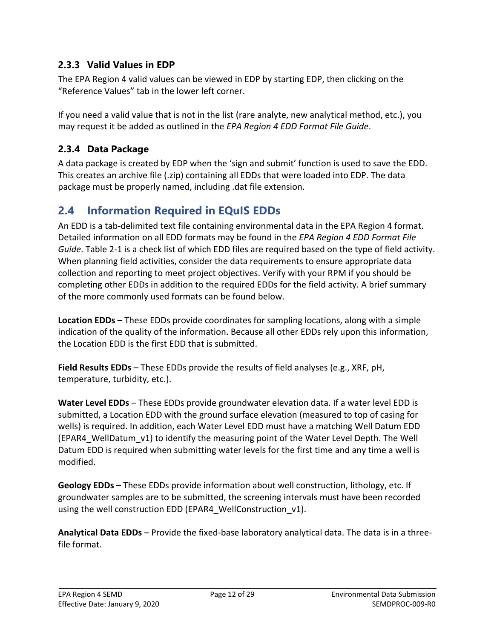#### <span id="page-11-0"></span>**2.3.3 Valid Values in EDP**

The EPA Region 4 valid values can be viewed in EDP by starting EDP, then clicking on the "Reference Values" tab in the lower left corner.

If you need a valid value that is not in the list (rare analyte, new analytical method, etc.), you may request it be added as outlined in the *EPA Region 4 EDD Format File Guide*.

#### <span id="page-11-1"></span>**2.3.4 Data Package**

A data package is created by EDP when the 'sign and submit' function is used to save the EDD. This creates an archive file (.zip) containing all EDDs that were loaded into EDP. The data package must be properly named, including .dat file extension.

## <span id="page-11-2"></span>**2.4 Information Required in EQuIS EDDs**

An EDD is a tab-delimited text file containing environmental data in the EPA Region 4 format. Detailed information on all EDD formats may be found in the *EPA Region 4 EDD Format File Guide*. Table 2-1 is a check list of which EDD files are required based on the type of field activity. When planning field activities, consider the data requirements to ensure appropriate data collection and reporting to meet project objectives. Verify with your RPM if you should be completing other EDDs in addition to the required EDDs for the field activity. A brief summary of the more commonly used formats can be found below.

**Location EDDs** – These EDDs provide coordinates for sampling locations, along with a simple indication of the quality of the information. Because all other EDDs rely upon this information, the Location EDD is the first EDD that is submitted.

**Field Results EDDs** – These EDDs provide the results of field analyses (e.g., XRF, pH, temperature, turbidity, etc.).

**Water Level EDDs** – These EDDs provide groundwater elevation data. If a water level EDD is submitted, a Location EDD with the ground surface elevation (measured to top of casing for wells) is required. In addition, each Water Level EDD must have a matching Well Datum EDD (EPAR4\_WellDatum\_v1) to identify the measuring point of the Water Level Depth. The Well Datum EDD is required when submitting water levels for the first time and any time a well is modified.

**Geology EDDs** – These EDDs provide information about well construction, lithology, etc. If groundwater samples are to be submitted, the screening intervals must have been recorded using the well construction EDD (EPAR4\_WellConstruction\_v1).

**Analytical Data EDDs** – Provide the fixed-base laboratory analytical data. The data is in a threefile format.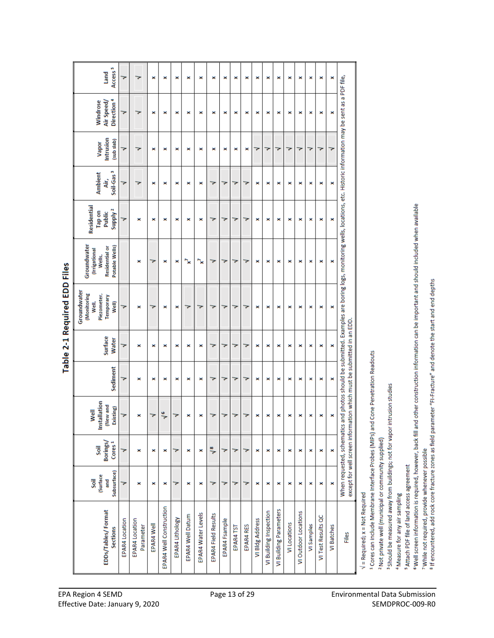| Access <sup>5</sup><br>Land                                                       | ₹              | 7                           | ×          | ×                       | ×               | ×                | ×                  | ×                          | ×             | ×         | ×         | ×               | ×                      | ×                      | ×            | ×                    | ×          | ×                  | ×          |                                                                                                                                                                        |
|-----------------------------------------------------------------------------------|----------------|-----------------------------|------------|-------------------------|-----------------|------------------|--------------------|----------------------------|---------------|-----------|-----------|-----------------|------------------------|------------------------|--------------|----------------------|------------|--------------------|------------|------------------------------------------------------------------------------------------------------------------------------------------------------------------------|
| Direction <sup>4</sup><br>Air Speed/<br>Windrose                                  | ₹              | 7                           | ×          | ×                       | ×               | ×                | ×                  | ×                          | ×             | ×         | ×         | ×               | ×                      | ×                      | ×            | ×                    | ×          | ×                  | ×          |                                                                                                                                                                        |
| Intrusion<br>(sub slab)<br>Vapor                                                  | ▼              | 7                           | ×          | ×                       | ×               | ×                | ×                  | ×                          | ×             | ×         | ×         | >               | マ                      | ₹                      | 7            | 7                    | 7          | 7                  | ॽ          |                                                                                                                                                                        |
| Soil-Gas <sup>3</sup><br><b>Ambient</b><br>Air,                                   | ₹              | 7                           | ×          | ×                       | ×               | ×                | ×                  | 7                          | 7             | ▼         | 7         | ×               | ×                      | ×                      | ×            | ×                    | ×          | ×                  | ×          |                                                                                                                                                                        |
| Residential<br>Supply <sup>2</sup><br>Tap on<br>Public                            | ▼              | ×                           | ×          | ×                       | ×               | ×                | ×                  | ▼                          | 7             | ▼         | 7         | ×               | ×                      | ×                      | ×            | ×                    | ×          | ×                  | ×          |                                                                                                                                                                        |
| Groundwater<br>Potable Wells)<br><b>Residential or</b><br>(Irrigational<br>Wells, |                | ×                           | 7          | ×                       | ×               | `×               | ∼                  | ᅐ                          | ᅐ             | ▼         | 7         | ×               | ×                      | ×                      | ×            | ×                    | ×          | ×                  | ×          |                                                                                                                                                                        |
| Groundwater<br>(Monitoring<br>Piezometer,<br>Temporary<br>Well,<br>Well)          | ▼              | ×                           | ॽ          | ×                       | ×               | >                | >                  | 7                          | ₹             | ₹         | 7         | ×               | ×                      | ×                      | ×            | ×                    | ×          | ×                  | ×          | When requested, schematics and photos should be submitted. Examples are boring logs, monitoring wells, locations, etc. Historic information may be sent as a PDF file, |
| Surface<br>Water                                                                  | ₹              | ×                           | ×          | ×                       | ×               | ×                | ×                  | ▼                          | 7             | ▼         | ∍         | ×               | ×                      | ×                      | ×            | ×                    | ×          | ×                  | ×          |                                                                                                                                                                        |
| Sediment                                                                          | ▼              | ×                           | ×          | ×                       | ×               | ×                | ×                  | ▼                          | ▼             | ▼         | 7         | ×               | ×                      | ×                      | ×            | ×                    | ×          | ×                  | ×          |                                                                                                                                                                        |
| Installation<br>lew and<br>(New and<br>Existing)<br>Well                          | ▼              | ×                           |            | $\sqrt{6}$              |                 | ×                | ×                  | 7                          | 7             | 7         |           | ×               | ×                      | ×                      | ×            | ×                    | ×          | ×                  | ×          | except for well screen information which must be submitted in an EDD.                                                                                                  |
| Cores <sup>1</sup><br>Borings,<br>Soil                                            | ₹              | ×                           | ×          | ×                       | >               | ×                | ×                  | ⇒                          | マ             | ᅐ         | >         | ×               | ×                      | ×                      | ×            | ×                    | ×          | ×                  | ×          |                                                                                                                                                                        |
| Subsurface)<br>(Surface<br>Soil<br>and                                            | >              | ×                           | ×          | ×                       | >               | ×                | ×                  | ᅐ                          | 7             | ᅐ         | ᅐ         | ×               | ×                      | ×                      | ×            | ×                    | ×          | ×                  | ×          |                                                                                                                                                                        |
| EDDs/Tables/Format<br>Sections                                                    | EPAR4 Location | EPAR4 Location<br>Parameter | EPAR4 Well | EPAR4 Well Construction | EPAR4 Lithology | EPAR4 Well Datum | EPAR4 Water Levels | <b>EPAR4 Field Results</b> | EPAR4 Fsample | EPAR4 TST | EPAR4 RES | VI Bldg Address | VI Building Inspection | VI Building Parameters | VI Locations | VI Outdoor Locations | VI Samples | VI Test Results QC | VI Batches | Files                                                                                                                                                                  |

Table 2-1 Required EDD Files

 $V = Required; x = Not Required$ 

<sup>1</sup> Cores can include Membrane Interface Probes (MIPs) and Cone Penetration Readouts

<sup>2</sup> Not private well (municipal or community supplied)

<sup>3</sup>Should be measured away from buildings; not for vapor intrusion studies

<sup>4</sup> Measure for any air sampling

5 Attach PDF file of land access agreement

<sup>6</sup>Well screen information is required, however, back fill and other construction information can be important and should included when available

7 While not required, provide whenever possible

<sup>8</sup> If encountered, add rock core fracture zones as field parameter "FI-Fracture" and denote the start and end depths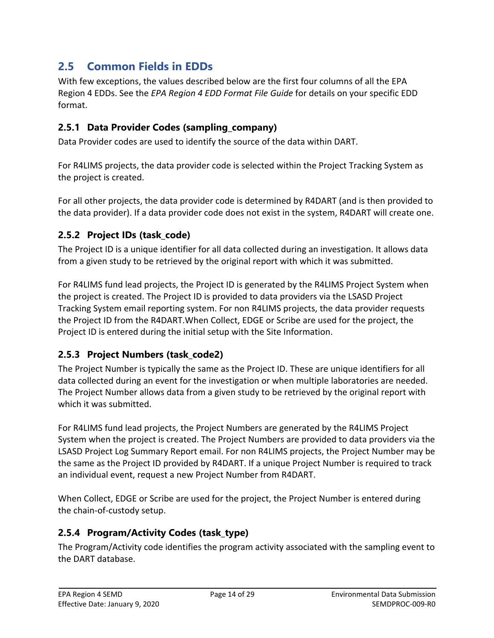## <span id="page-13-0"></span>**2.5 Common Fields in EDDs**

With few exceptions, the values described below are the first four columns of all the EPA Region 4 EDDs. See the *EPA Region 4 EDD Format File Guide* for details on your specific EDD format.

#### <span id="page-13-1"></span>**2.5.1 Data Provider Codes (sampling\_company)**

Data Provider codes are used to identify the source of the data within DART.

For R4LIMS projects, the data provider code is selected within the Project Tracking System as the project is created.

For all other projects, the data provider code is determined by R4DART (and is then provided to the data provider). If a data provider code does not exist in the system, R4DART will create one.

#### <span id="page-13-2"></span>**2.5.2 Project IDs (task\_code)**

The Project ID is a unique identifier for all data collected during an investigation. It allows data from a given study to be retrieved by the original report with which it was submitted.

For R4LIMS fund lead projects, the Project ID is generated by the R4LIMS Project System when the project is created. The Project ID is provided to data providers via the LSASD Project Tracking System email reporting system. For non R4LIMS projects, the data provider requests the Project ID from the R4DART.When Collect, EDGE or Scribe are used for the project, the Project ID is entered during the initial setup with the Site Information.

#### <span id="page-13-3"></span>**2.5.3 Project Numbers (task\_code2)**

The Project Number is typically the same as the Project ID. These are unique identifiers for all data collected during an event for the investigation or when multiple laboratories are needed. The Project Number allows data from a given study to be retrieved by the original report with which it was submitted.

For R4LIMS fund lead projects, the Project Numbers are generated by the R4LIMS Project System when the project is created. The Project Numbers are provided to data providers via the LSASD Project Log Summary Report email. For non R4LIMS projects, the Project Number may be the same as the Project ID provided by R4DART. If a unique Project Number is required to track an individual event, request a new Project Number from R4DART.

When Collect, EDGE or Scribe are used for the project, the Project Number is entered during the chain-of-custody setup.

#### <span id="page-13-4"></span>**2.5.4 Program/Activity Codes (task\_type)**

The Program/Activity code identifies the program activity associated with the sampling event to the DART database.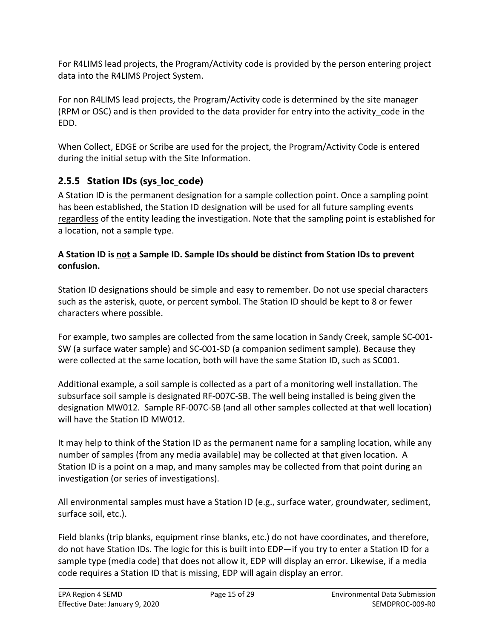For R4LIMS lead projects, the Program/Activity code is provided by the person entering project data into the R4LIMS Project System.

For non R4LIMS lead projects, the Program/Activity code is determined by the site manager (RPM or OSC) and is then provided to the data provider for entry into the activity code in the EDD.

When Collect, EDGE or Scribe are used for the project, the Program/Activity Code is entered during the initial setup with the Site Information.

## <span id="page-14-0"></span>**2.5.5 Station IDs (sys\_loc\_code)**

A Station ID is the permanent designation for a sample collection point. Once a sampling point has been established, the Station ID designation will be used for all future sampling events regardless of the entity leading the investigation. Note that the sampling point is established for a location, not a sample type.

#### **A Station ID is not a Sample ID. Sample IDs should be distinct from Station IDs to prevent confusion.**

Station ID designations should be simple and easy to remember. Do not use special characters such as the asterisk, quote, or percent symbol. The Station ID should be kept to 8 or fewer characters where possible.

For example, two samples are collected from the same location in Sandy Creek, sample SC-001- SW (a surface water sample) and SC-001-SD (a companion sediment sample). Because they were collected at the same location, both will have the same Station ID, such as SC001.

Additional example, a soil sample is collected as a part of a monitoring well installation. The subsurface soil sample is designated RF-007C-SB. The well being installed is being given the designation MW012. Sample RF-007C-SB (and all other samples collected at that well location) will have the Station ID MW012.

It may help to think of the Station ID as the permanent name for a sampling location, while any number of samples (from any media available) may be collected at that given location. A Station ID is a point on a map, and many samples may be collected from that point during an investigation (or series of investigations).

All environmental samples must have a Station ID (e.g., surface water, groundwater, sediment, surface soil, etc.).

Field blanks (trip blanks, equipment rinse blanks, etc.) do not have coordinates, and therefore, do not have Station IDs. The logic for this is built into EDP—if you try to enter a Station ID for a sample type (media code) that does not allow it, EDP will display an error. Likewise, if a media code requires a Station ID that is missing, EDP will again display an error.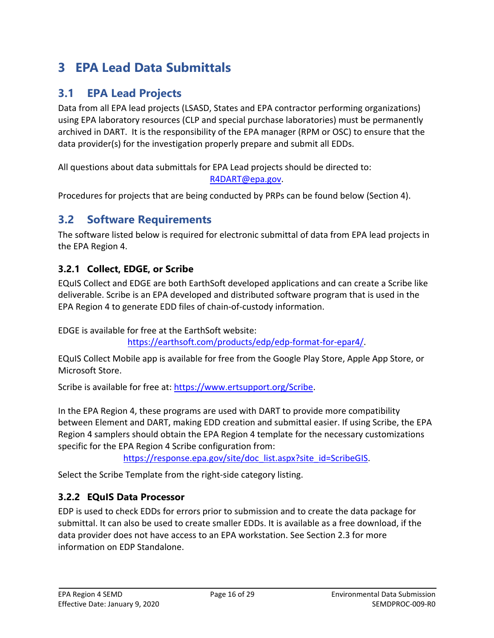# <span id="page-15-0"></span>**3 EPA Lead Data Submittals**

## <span id="page-15-1"></span>**3.1 EPA Lead Projects**

Data from all EPA lead projects (LSASD, States and EPA contractor performing organizations) using EPA laboratory resources (CLP and special purchase laboratories) must be permanently archived in DART. It is the responsibility of the EPA manager (RPM or OSC) to ensure that the data provider(s) for the investigation properly prepare and submit all EDDs.

All questions about data submittals for EPA Lead projects should be directed to: [R4DART@epa.gov.](mailto:R4DART@epa.gov)

Procedures for projects that are being conducted by PRPs can be found below (Section 4).

## <span id="page-15-2"></span>**3.2 Software Requirements**

The software listed below is required for electronic submittal of data from EPA lead projects in the EPA Region 4.

#### <span id="page-15-3"></span>**3.2.1 Collect, EDGE, or Scribe**

EQuIS Collect and EDGE are both EarthSoft developed applications and can create a Scribe like deliverable. Scribe is an EPA developed and distributed software program that is used in the EPA Region 4 to generate EDD files of chain-of-custody information.

EDGE is available for free at the EarthSoft website:

[https://earthsoft.com/products/edp/edp-format-for-epar4/.](https://earthsoft.com/products/edp/edp-format-for-epar4/)

EQuIS Collect Mobile app is available for free from the Google Play Store, Apple App Store, or Microsoft Store.

Scribe is available for free at: [https://www.ertsupport.org/Scribe.](https://www.ertsupport.org/Scribe)

In the EPA Region 4, these programs are used with DART to provide more compatibility between Element and DART, making EDD creation and submittal easier. If using Scribe, the EPA Region 4 samplers should obtain the EPA Region 4 template for the necessary customizations specific for the EPA Region 4 Scribe configuration from:

[https://response.epa.gov/site/doc\\_list.aspx?site\\_id=ScribeGIS.](https://response.epa.gov/site/doc_list.aspx?site_id=ScribeGIS)

Select the Scribe Template from the right-side category listing.

### <span id="page-15-4"></span>**3.2.2 EQuIS Data Processor**

EDP is used to check EDDs for errors prior to submission and to create the data package for submittal. It can also be used to create smaller EDDs. It is available as a free download, if the data provider does not have access to an EPA workstation. See Section 2.3 for more information on EDP Standalone.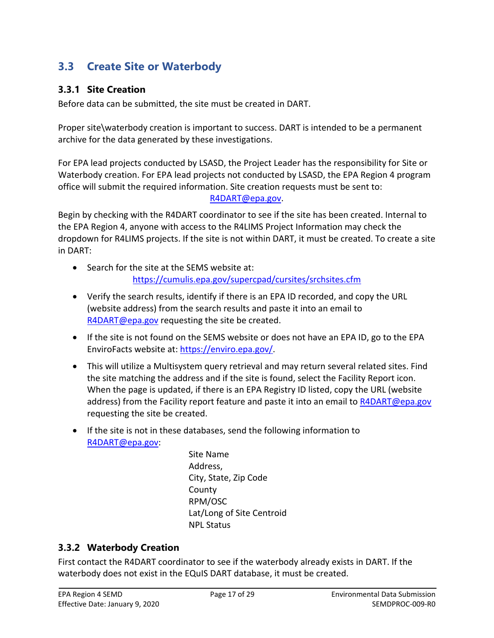## <span id="page-16-0"></span>**3.3 Create Site or Waterbody**

#### <span id="page-16-1"></span>**3.3.1 Site Creation**

Before data can be submitted, the site must be created in DART.

Proper site\waterbody creation is important to success. DART is intended to be a permanent archive for the data generated by these investigations.

For EPA lead projects conducted by LSASD, the Project Leader has the responsibility for Site or Waterbody creation. For EPA lead projects not conducted by LSASD, the EPA Region 4 program office will submit the required information. Site creation requests must be sent to:

#### [R4DART@epa.gov.](mailto:R4DART@epa.gov)

Begin by checking with the R4DART coordinator to see if the site has been created. Internal to the EPA Region 4, anyone with access to the R4LIMS Project Information may check the dropdown for R4LIMS projects. If the site is not within DART, it must be created. To create a site in DART:

- Search for the site at the SEMS website at: <https://cumulis.epa.gov/supercpad/cursites/srchsites.cfm>
- Verify the search results, identify if there is an EPA ID recorded, and copy the URL (website address) from the search results and paste it into an email to [R4DART@epa.gov](mailto:R4DART@epa.gov) requesting the site be created.
- If the site is not found on the SEMS website or does not have an EPA ID, go to the EPA EnviroFacts website at: [https://enviro.epa.gov/.](https://enviro.epa.gov/)
- This will utilize a Multisystem query retrieval and may return several related sites. Find the site matching the address and if the site is found, select the Facility Report icon. When the page is updated, if there is an EPA Registry ID listed, copy the URL (website address) from the Facility report feature and paste it into an email to [R4DART@epa.gov](mailto:R4DART@epa.gov) requesting the site be created.
- If the site is not in these databases, send the following information to [R4DART@epa.gov:](mailto:R4DART@epa.gov)

Site Name Address, City, State, Zip Code County RPM/OSC Lat/Long of Site Centroid NPL Status

#### <span id="page-16-2"></span>**3.3.2 Waterbody Creation**

First contact the R4DART coordinator to see if the waterbody already exists in DART. If the waterbody does not exist in the EQuIS DART database, it must be created.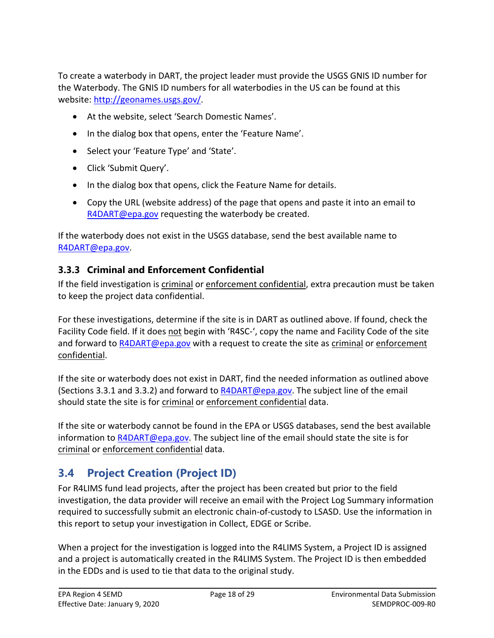To create a waterbody in DART, the project leader must provide the USGS GNIS ID number for the Waterbody. The GNIS ID numbers for all waterbodies in the US can be found at this website: [http://geonames.usgs.gov/.](http://geonames.usgs.gov/)

- At the website, select 'Search Domestic Names'.
- In the dialog box that opens, enter the 'Feature Name'.
- Select your 'Feature Type' and 'State'.
- Click 'Submit Query'.
- In the dialog box that opens, click the Feature Name for details.
- Copy the URL (website address) of the page that opens and paste it into an email to [R4DART@epa.gov](mailto:R4DART@epa.gov) requesting the waterbody be created.

If the waterbody does not exist in the USGS database, send the best available name to [R4DART@epa.gov.](mailto:R4DART@epa.gov)

#### <span id="page-17-0"></span>**3.3.3 Criminal and Enforcement Confidential**

If the field investigation is criminal or enforcement confidential, extra precaution must be taken to keep the project data confidential.

For these investigations, determine if the site is in DART as outlined above. If found, check the Facility Code field. If it does not begin with 'R4SC-', copy the name and Facility Code of the site and forward to [R4DART@epa.gov](mailto:R4DART@epa.gov) with a request to create the site as criminal or enforcement confidential.

If the site or waterbody does not exist in DART, find the needed information as outlined above (Sections 3.3.1 and 3.3.2) and forward to  $R4DART@epa.gov$ . The subject line of the email should state the site is for criminal or enforcement confidential data.

If the site or waterbody cannot be found in the EPA or USGS databases, send the best available information to [R4DART@epa.gov.](mailto:R4DART@epa.gov) The subject line of the email should state the site is for criminal or enforcement confidential data.

## <span id="page-17-1"></span>**3.4 Project Creation (Project ID)**

For R4LIMS fund lead projects, after the project has been created but prior to the field investigation, the data provider will receive an email with the Project Log Summary information required to successfully submit an electronic chain-of-custody to LSASD. Use the information in this report to setup your investigation in Collect, EDGE or Scribe.

When a project for the investigation is logged into the R4LIMS System, a Project ID is assigned and a project is automatically created in the R4LIMS System. The Project ID is then embedded in the EDDs and is used to tie that data to the original study.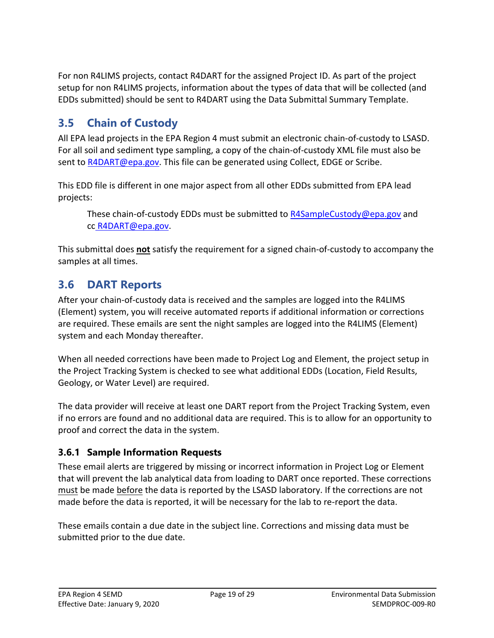For non R4LIMS projects, contact R4DART for the assigned Project ID. As part of the project setup for non R4LIMS projects, information about the types of data that will be collected (and EDDs submitted) should be sent to R4DART using the Data Submittal Summary Template.

## <span id="page-18-0"></span>**3.5 Chain of Custody**

All EPA lead projects in the EPA Region 4 must submit an electronic chain-of-custody to LSASD. For all soil and sediment type sampling, a copy of the chain-of-custody XML file must also be sent to [R4DART@epa.gov.](mailto:R4DART@epa.gov) This file can be generated using Collect, EDGE or Scribe.

This EDD file is different in one major aspect from all other EDDs submitted from EPA lead projects:

These chain-of-custody EDDs must be submitted to [R4SampleCustody@epa.gov](mailto:R4SampleCustody@epa.gov) and cc [R4DART@epa.gov.](mailto:r4dart@epa.gov)

This submittal does **not** satisfy the requirement for a signed chain-of-custody to accompany the samples at all times.

## <span id="page-18-1"></span>**3.6 DART Reports**

After your chain-of-custody data is received and the samples are logged into the R4LIMS (Element) system, you will receive automated reports if additional information or corrections are required. These emails are sent the night samples are logged into the R4LIMS (Element) system and each Monday thereafter.

When all needed corrections have been made to Project Log and Element, the project setup in the Project Tracking System is checked to see what additional EDDs (Location, Field Results, Geology, or Water Level) are required.

The data provider will receive at least one DART report from the Project Tracking System, even if no errors are found and no additional data are required. This is to allow for an opportunity to proof and correct the data in the system.

#### <span id="page-18-2"></span>**3.6.1 Sample Information Requests**

These email alerts are triggered by missing or incorrect information in Project Log or Element that will prevent the lab analytical data from loading to DART once reported. These corrections must be made before the data is reported by the LSASD laboratory. If the corrections are not made before the data is reported, it will be necessary for the lab to re-report the data.

These emails contain a due date in the subject line. Corrections and missing data must be submitted prior to the due date.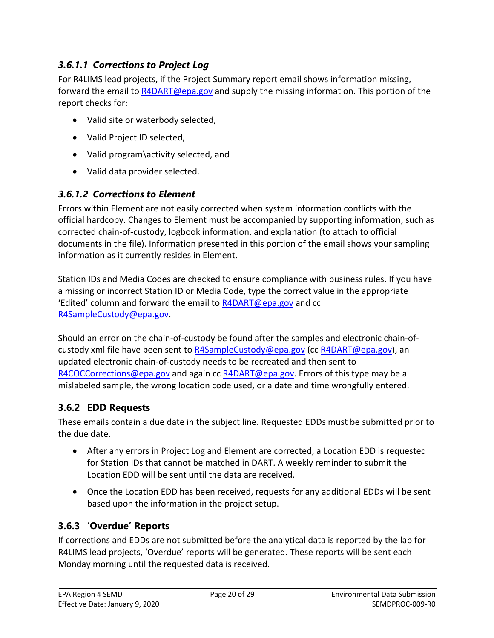### *3.6.1.1 Corrections to Project Log*

For R4LIMS lead projects, if the Project Summary report email shows information missing, forward the email to [R4DART@epa.gov](mailto:R4DART@epa.gov) and supply the missing information. This portion of the report checks for:

- Valid site or waterbody selected,
- Valid Project ID selected,
- Valid program\activity selected, and
- Valid data provider selected.

#### *3.6.1.2 Corrections to Element*

Errors within Element are not easily corrected when system information conflicts with the official hardcopy. Changes to Element must be accompanied by supporting information, such as corrected chain-of-custody, logbook information, and explanation (to attach to official documents in the file). Information presented in this portion of the email shows your sampling information as it currently resides in Element.

Station IDs and Media Codes are checked to ensure compliance with business rules. If you have a missing or incorrect Station ID or Media Code, type the correct value in the appropriate 'Edited' column and forward the email to [R4DART@epa.gov](mailto:R4DART@epa.gov) and cc [R4SampleCustody@epa.gov.](mailto:R4SampleCustody@epa.gov)

Should an error on the chain-of-custody be found after the samples and electronic chain-ofcustody xml file have been sent to [R4SampleCustody@epa.gov](mailto:R4SampleCustody@epa.gov) (cc [R4DART@epa.gov\)](mailto:R4DART@epa.gov), an updated electronic chain-of-custody needs to be recreated and then sent to [R4COCCorrections@epa.gov](mailto:R4COCCorrections@epa.gov) and again cc [R4DART@epa.gov.](mailto:R4DART@epa.gov) Errors of this type may be a mislabeled sample, the wrong location code used, or a date and time wrongfully entered.

#### <span id="page-19-0"></span>**3.6.2 EDD Requests**

These emails contain a due date in the subject line. Requested EDDs must be submitted prior to the due date.

- After any errors in Project Log and Element are corrected, a Location EDD is requested for Station IDs that cannot be matched in DART. A weekly reminder to submit the Location EDD will be sent until the data are received.
- Once the Location EDD has been received, requests for any additional EDDs will be sent based upon the information in the project setup.

#### <span id="page-19-1"></span>**3.6.3 'Overdue' Reports**

If corrections and EDDs are not submitted before the analytical data is reported by the lab for R4LIMS lead projects, 'Overdue' reports will be generated. These reports will be sent each Monday morning until the requested data is received.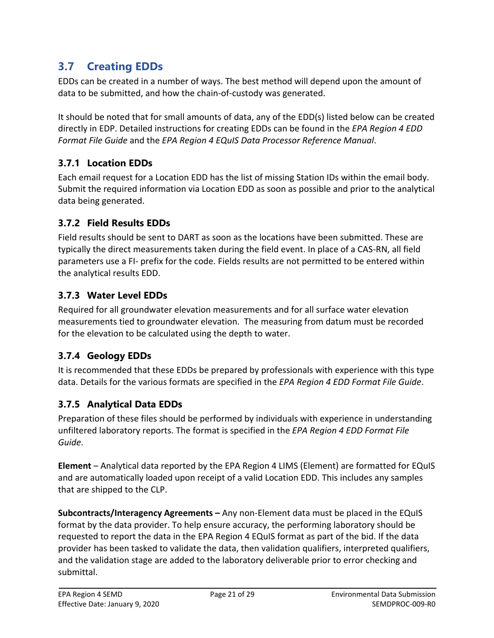## <span id="page-20-0"></span>**3.7 Creating EDDs**

EDDs can be created in a number of ways. The best method will depend upon the amount of data to be submitted, and how the chain-of-custody was generated.

It should be noted that for small amounts of data, any of the EDD(s) listed below can be created directly in EDP. Detailed instructions for creating EDDs can be found in the *EPA Region 4 EDD Format File Guide* and the *EPA Region 4 EQuIS Data Processor Reference Manual*.

### <span id="page-20-1"></span>**3.7.1 Location EDDs**

Each email request for a Location EDD has the list of missing Station IDs within the email body. Submit the required information via Location EDD as soon as possible and prior to the analytical data being generated.

### <span id="page-20-2"></span>**3.7.2 Field Results EDDs**

Field results should be sent to DART as soon as the locations have been submitted. These are typically the direct measurements taken during the field event. In place of a CAS-RN, all field parameters use a FI- prefix for the code. Fields results are not permitted to be entered within the analytical results EDD.

### <span id="page-20-3"></span>**3.7.3 Water Level EDDs**

Required for all groundwater elevation measurements and for all surface water elevation measurements tied to groundwater elevation. The measuring from datum must be recorded for the elevation to be calculated using the depth to water.

### <span id="page-20-4"></span>**3.7.4 Geology EDDs**

It is recommended that these EDDs be prepared by professionals with experience with this type data. Details for the various formats are specified in the *EPA Region 4 EDD Format File Guide*.

### <span id="page-20-5"></span>**3.7.5 Analytical Data EDDs**

Preparation of these files should be performed by individuals with experience in understanding unfiltered laboratory reports. The format is specified in the *EPA Region 4 EDD Format File Guide*.

**Element** – Analytical data reported by the EPA Region 4 LIMS (Element) are formatted for EQuIS and are automatically loaded upon receipt of a valid Location EDD. This includes any samples that are shipped to the CLP.

**Subcontracts/Interagency Agreements –** Any non-Element data must be placed in the EQuIS format by the data provider. To help ensure accuracy, the performing laboratory should be requested to report the data in the EPA Region 4 EQuIS format as part of the bid. If the data provider has been tasked to validate the data, then validation qualifiers, interpreted qualifiers, and the validation stage are added to the laboratory deliverable prior to error checking and submittal.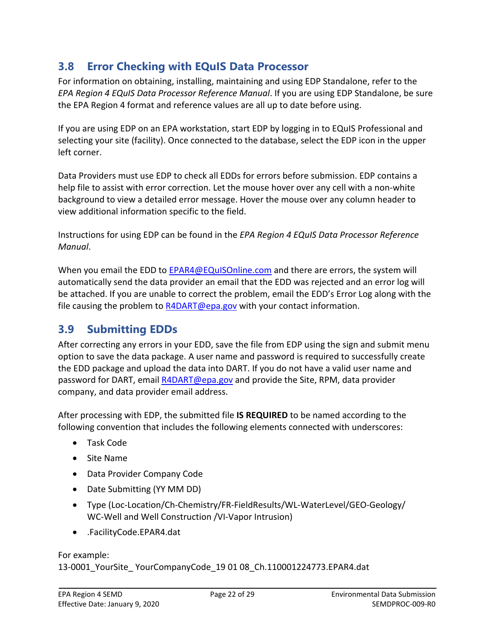## <span id="page-21-0"></span>**3.8 Error Checking with EQuIS Data Processor**

For information on obtaining, installing, maintaining and using EDP Standalone, refer to the *EPA Region 4 EQuIS Data Processor Reference Manual*. If you are using EDP Standalone, be sure the EPA Region 4 format and reference values are all up to date before using.

If you are using EDP on an EPA workstation, start EDP by logging in to EQuIS Professional and selecting your site (facility). Once connected to the database, select the EDP icon in the upper left corner.

Data Providers must use EDP to check all EDDs for errors before submission. EDP contains a help file to assist with error correction. Let the mouse hover over any cell with a non-white background to view a detailed error message. Hover the mouse over any column header to view additional information specific to the field.

Instructions for using EDP can be found in the *EPA Region 4 EQuIS Data Processor Reference Manual*.

When you email the EDD to [EPAR4@EQuISOnline.com](mailto:EPAR4@EQuISOnline.com) and there are errors, the system will automatically send the data provider an email that the EDD was rejected and an error log will be attached. If you are unable to correct the problem, email the EDD's Error Log along with the file causing the problem to [R4DART@epa.gov](mailto:r4dart@epa.gov) with your contact information.

## <span id="page-21-1"></span>**3.9 Submitting EDDs**

After correcting any errors in your EDD, save the file from EDP using the sign and submit menu option to save the data package. A user name and password is required to successfully create the EDD package and upload the data into DART. If you do not have a valid user name and password for DART, email [R4DART@epa.gov](mailto:r4dart@epa.gov) and provide the Site, RPM, data provider company, and data provider email address.

After processing with EDP, the submitted file **IS REQUIRED** to be named according to the following convention that includes the following elements connected with underscores:

- Task Code
- Site Name
- Data Provider Company Code
- Date Submitting (YY MM DD)
- Type (Loc-Location/Ch-Chemistry/FR-FieldResults/WL-WaterLevel/GEO-Geology/ WC-Well and Well Construction /VI-Vapor Intrusion)
- .FacilityCode.EPAR4.dat

#### For example: 13-0001\_YourSite\_ YourCompanyCode\_19 01 08\_Ch.110001224773.EPAR4.dat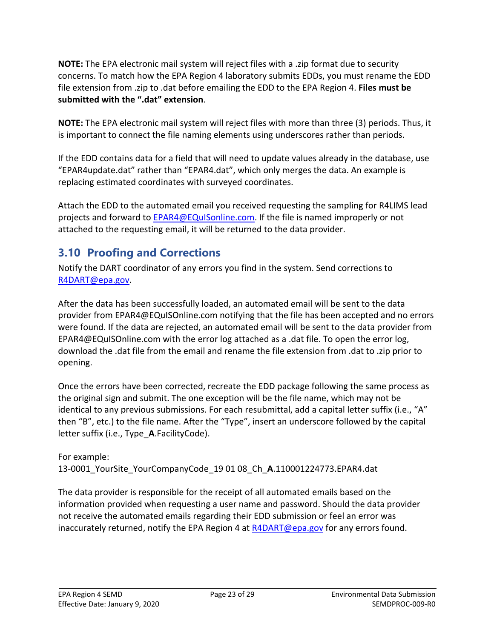**NOTE:** The EPA electronic mail system will reject files with a .zip format due to security concerns. To match how the EPA Region 4 laboratory submits EDDs, you must rename the EDD file extension from .zip to .dat before emailing the EDD to the EPA Region 4. **Files must be submitted with the ".dat" extension**.

**NOTE:** The EPA electronic mail system will reject files with more than three (3) periods. Thus, it is important to connect the file naming elements using underscores rather than periods.

If the EDD contains data for a field that will need to update values already in the database, use "EPAR4update.dat" rather than "EPAR4.dat", which only merges the data. An example is replacing estimated coordinates with surveyed coordinates.

Attach the EDD to the automated email you received requesting the sampling for R4LIMS lead projects and forward to [EPAR4@EQuISonline.com.](mailto:EPAR4@EQuISonline.com) If the file is named improperly or not attached to the requesting email, it will be returned to the data provider.

## <span id="page-22-0"></span>**3.10 Proofing and Corrections**

Notify the DART coordinator of any errors you find in the system. Send corrections to [R4DART@epa.gov.](mailto:r4dart@epa.gov)

After the data has been successfully loaded, an automated email will be sent to the data provider from EPAR4@EQuISOnline.com notifying that the file has been accepted and no errors were found. If the data are rejected, an automated email will be sent to the data provider from EPAR4@EQuISOnline.com with the error log attached as a .dat file. To open the error log, download the .dat file from the email and rename the file extension from .dat to .zip prior to opening.

Once the errors have been corrected, recreate the EDD package following the same process as the original sign and submit. The one exception will be the file name, which may not be identical to any previous submissions. For each resubmittal, add a capital letter suffix (i.e., "A" then "B", etc.) to the file name. After the "Type", insert an underscore followed by the capital letter suffix (i.e., Type\_**A**.FacilityCode).

For example: 13-0001\_YourSite\_YourCompanyCode\_19 01 08\_Ch\_**A**.110001224773.EPAR4.dat

The data provider is responsible for the receipt of all automated emails based on the information provided when requesting a user name and password. Should the data provider not receive the automated emails regarding their EDD submission or feel an error was inaccurately returned, notify the EPA Region 4 at  $R4DART@epa.gov$  for any errors found.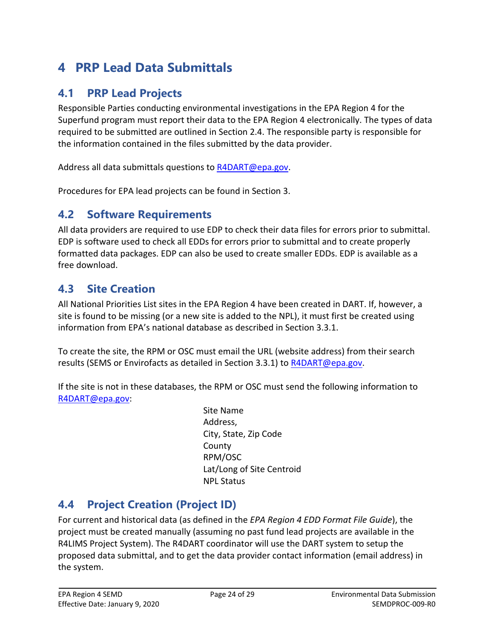# <span id="page-23-0"></span>**4 PRP Lead Data Submittals**

## <span id="page-23-1"></span>**4.1 PRP Lead Projects**

Responsible Parties conducting environmental investigations in the EPA Region 4 for the Superfund program must report their data to the EPA Region 4 electronically. The types of data required to be submitted are outlined in Section 2.4. The responsible party is responsible for the information contained in the files submitted by the data provider.

Address all data submittals questions to [R4DART@epa.gov.](mailto:r4dart@epa.gov)

Procedures for EPA lead projects can be found in Section 3.

### <span id="page-23-2"></span>**4.2 Software Requirements**

All data providers are required to use EDP to check their data files for errors prior to submittal. EDP is software used to check all EDDs for errors prior to submittal and to create properly formatted data packages. EDP can also be used to create smaller EDDs. EDP is available as a free download.

## <span id="page-23-3"></span>**4.3 Site Creation**

All National Priorities List sites in the EPA Region 4 have been created in DART. If, however, a site is found to be missing (or a new site is added to the NPL), it must first be created using information from EPA's national database as described in Section 3.3.1.

To create the site, the RPM or OSC must email the URL (website address) from their search results (SEMS or Envirofacts as detailed in Section 3.3.1) to [R4DART@epa.gov.](mailto:R4DART@epa.gov)

If the site is not in these databases, the RPM or OSC must send the following information to [R4DART@epa.gov:](mailto:R4DART@epa.gov)

> Site Name Address, City, State, Zip Code County RPM/OSC Lat/Long of Site Centroid NPL Status

## <span id="page-23-4"></span>**4.4 Project Creation (Project ID)**

For current and historical data (as defined in the *EPA Region 4 EDD Format File Guide*), the project must be created manually (assuming no past fund lead projects are available in the R4LIMS Project System). The R4DART coordinator will use the DART system to setup the proposed data submittal, and to get the data provider contact information (email address) in the system.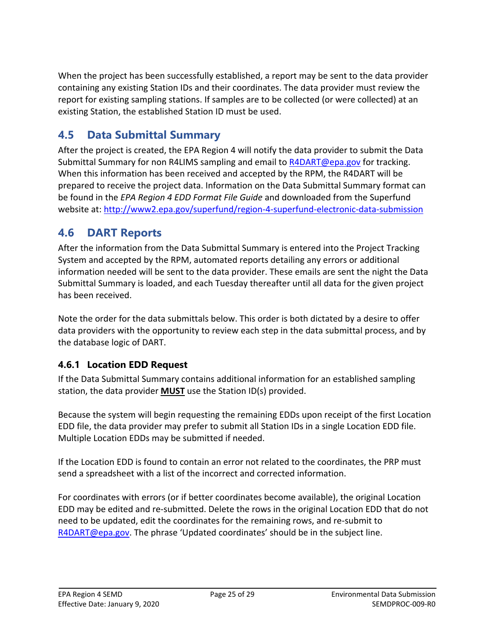When the project has been successfully established, a report may be sent to the data provider containing any existing Station IDs and their coordinates. The data provider must review the report for existing sampling stations. If samples are to be collected (or were collected) at an existing Station, the established Station ID must be used.

## <span id="page-24-0"></span>**4.5 Data Submittal Summary**

After the project is created, the EPA Region 4 will notify the data provider to submit the Data Submittal Summary for non R4LIMS sampling and email to [R4DART@epa.gov](mailto:R4DART@epa.gov) for tracking. When this information has been received and accepted by the RPM, the R4DART will be prepared to receive the project data. Information on the Data Submittal Summary format can be found in the *EPA Region 4 EDD Format File Guide* and downloaded from the Superfund website at: <http://www2.epa.gov/superfund/region-4-superfund-electronic-data-submission>

## <span id="page-24-1"></span>**4.6 DART Reports**

After the information from the Data Submittal Summary is entered into the Project Tracking System and accepted by the RPM, automated reports detailing any errors or additional information needed will be sent to the data provider. These emails are sent the night the Data Submittal Summary is loaded, and each Tuesday thereafter until all data for the given project has been received.

Note the order for the data submittals below. This order is both dictated by a desire to offer data providers with the opportunity to review each step in the data submittal process, and by the database logic of DART.

### <span id="page-24-2"></span>**4.6.1 Location EDD Request**

If the Data Submittal Summary contains additional information for an established sampling station, the data provider **MUST** use the Station ID(s) provided.

Because the system will begin requesting the remaining EDDs upon receipt of the first Location EDD file, the data provider may prefer to submit all Station IDs in a single Location EDD file. Multiple Location EDDs may be submitted if needed.

If the Location EDD is found to contain an error not related to the coordinates, the PRP must send a spreadsheet with a list of the incorrect and corrected information.

For coordinates with errors (or if better coordinates become available), the original Location EDD may be edited and re-submitted. Delete the rows in the original Location EDD that do not need to be updated, edit the coordinates for the remaining rows, and re-submit to [R4DART@epa.gov](mailto:R4DART@epa.gov). The phrase 'Updated coordinates' should be in the subject line.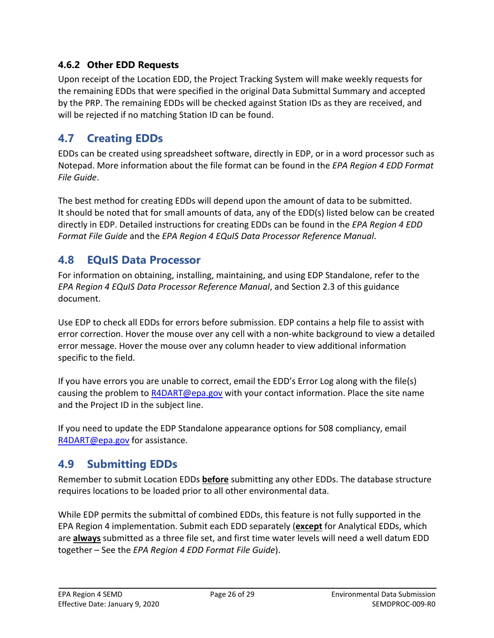### <span id="page-25-0"></span>**4.6.2 Other EDD Requests**

Upon receipt of the Location EDD, the Project Tracking System will make weekly requests for the remaining EDDs that were specified in the original Data Submittal Summary and accepted by the PRP. The remaining EDDs will be checked against Station IDs as they are received, and will be rejected if no matching Station ID can be found.

## <span id="page-25-1"></span>**4.7 Creating EDDs**

EDDs can be created using spreadsheet software, directly in EDP, or in a word processor such as Notepad. More information about the file format can be found in the *EPA Region 4 EDD Format File Guide*.

The best method for creating EDDs will depend upon the amount of data to be submitted. It should be noted that for small amounts of data, any of the EDD(s) listed below can be created directly in EDP. Detailed instructions for creating EDDs can be found in the *EPA Region 4 EDD Format File Guide* and the *EPA Region 4 EQuIS Data Processor Reference Manual*.

## <span id="page-25-2"></span>**4.8 EQuIS Data Processor**

For information on obtaining, installing, maintaining, and using EDP Standalone, refer to the *EPA Region 4 EQuIS Data Processor Reference Manual*, and Section 2.3 of this guidance document.

Use EDP to check all EDDs for errors before submission. EDP contains a help file to assist with error correction. Hover the mouse over any cell with a non-white background to view a detailed error message. Hover the mouse over any column header to view additional information specific to the field.

If you have errors you are unable to correct, email the EDD's Error Log along with the file(s) causing the problem to [R4DART@epa.gov](mailto:R4DART@epa.gov) with your contact information. Place the site name and the Project ID in the subject line.

If you need to update the EDP Standalone appearance options for 508 compliancy, email [R4DART@epa.gov](mailto:R4DART@epa.gov) for assistance.

## <span id="page-25-3"></span>**4.9 Submitting EDDs**

Remember to submit Location EDDs **before** submitting any other EDDs. The database structure requires locations to be loaded prior to all other environmental data.

While EDP permits the submittal of combined EDDs, this feature is not fully supported in the EPA Region 4 implementation. Submit each EDD separately (**except** for Analytical EDDs, which are **always** submitted as a three file set, and first time water levels will need a well datum EDD together – See the *EPA Region 4 EDD Format File Guide*).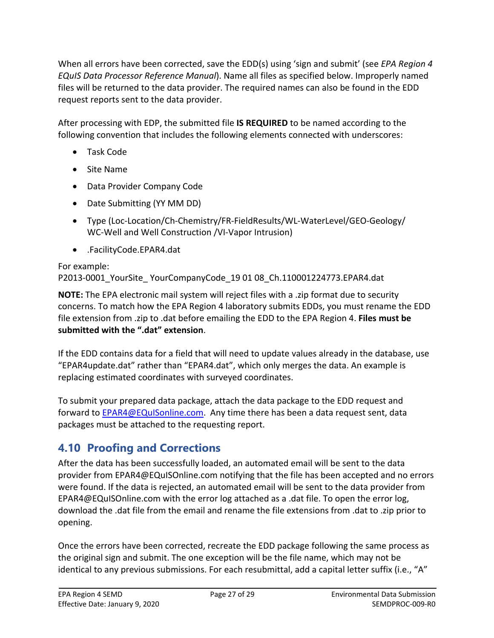When all errors have been corrected, save the EDD(s) using 'sign and submit' (see *EPA Region 4 EQuIS Data Processor Reference Manual*). Name all files as specified below. Improperly named files will be returned to the data provider. The required names can also be found in the EDD request reports sent to the data provider.

After processing with EDP, the submitted file **IS REQUIRED** to be named according to the following convention that includes the following elements connected with underscores:

- Task Code
- Site Name
- Data Provider Company Code
- Date Submitting (YY MM DD)
- Type (Loc-Location/Ch-Chemistry/FR-FieldResults/WL-WaterLevel/GEO-Geology/ WC-Well and Well Construction /VI-Vapor Intrusion)
- .FacilityCode.EPAR4.dat

#### For example:

P2013-0001 YourSite YourCompanyCode 19 01 08 Ch.110001224773.EPAR4.dat

**NOTE:** The EPA electronic mail system will reject files with a .zip format due to security concerns. To match how the EPA Region 4 laboratory submits EDDs, you must rename the EDD file extension from .zip to .dat before emailing the EDD to the EPA Region 4. **Files must be submitted with the ".dat" extension**.

If the EDD contains data for a field that will need to update values already in the database, use "EPAR4update.dat" rather than "EPAR4.dat", which only merges the data. An example is replacing estimated coordinates with surveyed coordinates.

To submit your prepared data package, attach the data package to the EDD request and forward to [EPAR4@EQuISonline.com.](mailto:EPAR4@EQuISonline.com) Any time there has been a data request sent, data packages must be attached to the requesting report.

# <span id="page-26-0"></span>**4.10 Proofing and Corrections**

After the data has been successfully loaded, an automated email will be sent to the data provider from EPAR4@EQuISOnline.com notifying that the file has been accepted and no errors were found. If the data is rejected, an automated email will be sent to the data provider from EPAR4@EQuISOnline.com with the error log attached as a .dat file. To open the error log, download the .dat file from the email and rename the file extensions from .dat to .zip prior to opening.

Once the errors have been corrected, recreate the EDD package following the same process as the original sign and submit. The one exception will be the file name, which may not be identical to any previous submissions. For each resubmittal, add a capital letter suffix (i.e., "A"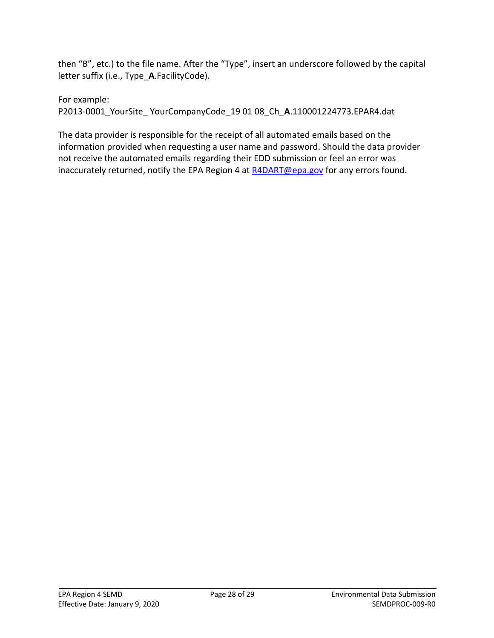then "B", etc.) to the file name. After the "Type", insert an underscore followed by the capital letter suffix (i.e., Type\_**A**.FacilityCode).

For example: P2013-0001\_YourSite\_ YourCompanyCode\_19 01 08\_Ch\_**A**.110001224773.EPAR4.dat

The data provider is responsible for the receipt of all automated emails based on the information provided when requesting a user name and password. Should the data provider not receive the automated emails regarding their EDD submission or feel an error was inaccurately returned, notify the EPA Region 4 at [R4DART@epa.gov](mailto:r4dart@epa.gov) for any errors found.